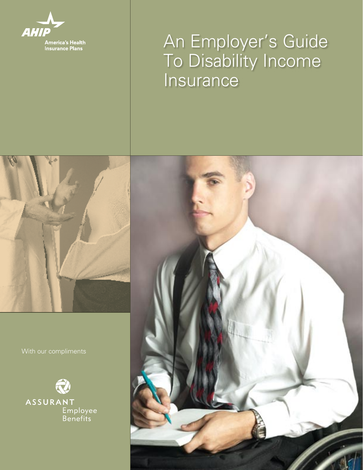

# An Employer's Guide To Disability Income Insurance



With our compliments



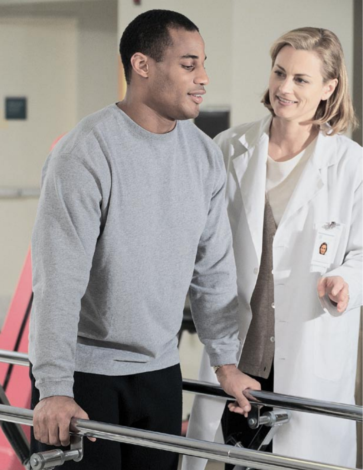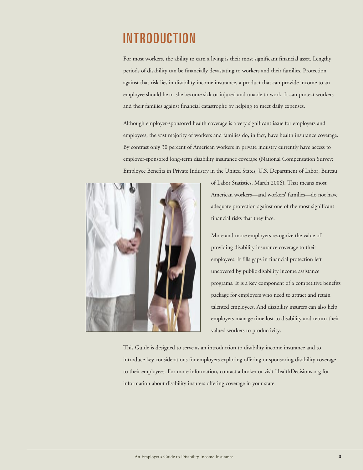# INTRODUCTION

For most workers, the ability to earn a living is their most significant financial asset. Lengthy periods of disability can be financially devastating to workers and their families. Protection against that risk lies in disability income insurance, a product that can provide income to an employee should he or she become sick or injured and unable to work. It can protect workers and their families against financial catastrophe by helping to meet daily expenses.

Although employer-sponsored health coverage is a very significant issue for employers and employees, the vast majority of workers and families do, in fact, have health insurance coverage. By contrast only 30 percent of American workers in private industry currently have access to employer-sponsored long-term disability insurance coverage (National Compensation Survey: Employee Benefits in Private Industry in the United States, U.S. Department of Labor, Bureau



of Labor Statistics, March 2006). That means most American workers—and workers' families—do not have adequate protection against one of the most significant financial risks that they face.

More and more employers recognize the value of providing disability insurance coverage to their employees. It fills gaps in financial protection left uncovered by public disability income assistance programs. It is a key component of a competitive benefits package for employers who need to attract and retain talented employees. And disability insurers can also help employers manage time lost to disability and return their valued workers to productivity.

This Guide is designed to serve as an introduction to disability income insurance and to introduce key considerations for employers exploring offering or sponsoring disability coverage to their employees. For more information, contact a broker or visit HealthDecisions.org for information about disability insurers offering coverage in your state.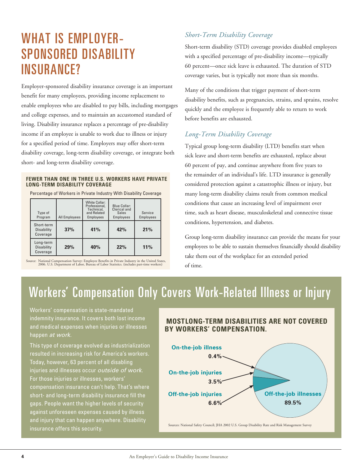# WHAT IS EMPLOYER-Sponsored Disability Insurance?

Employer-sponsored disability insurance coverage is an important benefit for many employees, providing income replacement to enable employees who are disabled to pay bills, including mortgages and college expenses, and to maintain an accustomed standard of living. Disability insurance replaces a percentage of pre-disability income if an employee is unable to work due to illness or injury for a specified period of time. Employers may offer short-term disability coverage, long-term disability coverage, or integrate both short- and long-term disability coverage.

#### **Fewer than one in three u.s. workers have private Long-term disability coverage**

Percentage of Workers in Private Industry With Disability Coverage

| Type of<br>Program                          | All Employees | <b>White Collar:</b><br>Professional.<br>Technical.<br>and Related<br>Employees | Blue Collar:<br><b>Clerical and</b><br><b>Sales</b><br>Employees | Service<br>Employees |
|---------------------------------------------|---------------|---------------------------------------------------------------------------------|------------------------------------------------------------------|----------------------|
| Short-term<br><b>Disability</b><br>Coverage | 37%           | 41%                                                                             | 42%                                                              | 21%                  |
| Long-term<br><b>Disability</b><br>Coverage  | 29%           | 40%                                                                             | 22%                                                              | 11%                  |

Source: National Compensation Survey: Employee Benefits in Private Industry in the United States, 2006. U.S. Department of Labor, Bureau of Labor Statistics. (includes part-time workers)

## *Short-Term Disability Coverage*

Short-term disability (STD) coverage provides disabled employees with a specified percentage of pre-disability income—typically 60 percent—once sick leave is exhausted. The duration of STD coverage varies, but is typically not more than six months.

Many of the conditions that trigger payment of short-term disability benefits, such as pregnancies, strains, and sprains, resolve quickly and the employee is frequently able to return to work before benefits are exhausted.

## *Long-Term Disability Coverage*

Typical group long-term disability (LTD) benefits start when sick leave and short-term benefits are exhausted, replace about 60 percent of pay, and continue anywhere from five years to the remainder of an individual's life. LTD insurance is generally considered protection against a catastrophic illness or injury, but many long-term disability claims result from common medical conditions that cause an increasing level of impairment over time, such as heart disease, musculoskeletal and connective tissue conditions, hypertension, and diabetes.

Group long-term disability insurance can provide the means for your employees to be able to sustain themselves financially should disability take them out of the workplace for an extended period of time.

## Workers' Compensation Only Covers Work-Related Illness or Injury

Workers' compensation is state-mandated indemnity insurance. It covers both lost income and medical expenses when injuries or illnesses happen *at work*.

This type of coverage evolved as industrialization resulted in increasing risk for America's workers. Today, however, 63 percent of all disabling injuries and illnesses occur *outside of work*. For those injuries or illnesses, workers' compensation insurance can't help. That's where short- and long-term disability insurance fill the gaps. People want the higher levels of security against unforeseen expenses caused by illness and injury that can happen anywhere. Disability insurance offers this security.

## **MOSTlong-term disabilities are not covered by workers' compensation.**

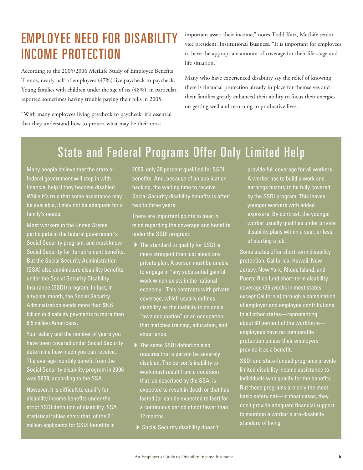# Employee Need for Disability Income Protection

According to the 2005/2006 MetLife Study of Employee Benefits Trends, nearly half of employees (47%) live paycheck to paycheck. Young families with children under the age of six (48%), in particular, reported sometimes having trouble paying their bills in 2005.

"With many employees living paycheck to paycheck, it's essential that they understand how to protect what may be their most

important asset: their income," notes Todd Katz, MetLife senior vice president, Institutional Business. "It is important for employees to have the appropriate amount of coverage for their life-stage and life situation."

Many who have experienced disability say the relief of knowing there is financial protection already in place for themselves and their families greatly enhanced their ability to focus their energies on getting well and returning to productive lives.

## State and Federal Programs Offer Only Limited Help

Many people believe that the state or federal government will step in with financial help if they become disabled. While it's true that some assistance may be available, it may not be adequate for a family's needs.

Most workers in the United States participate in the federal government's Social Security program, and most know Social Security for its retirement benefits. But the Social Security Administration (SSA) also administers disability benefits under the Social Security Disability Insurance (SSDI) program. In fact, in a typical month, the Social Security Administration sends more than \$6.6 billion in disability payments to more than 6.5 million Americans.

Your salary and the number of years you have been covered under Social Security determine how much you can receive. The average monthly benefit from the Social Security disability program in 2006 was \$939, according to the SSA.

However, it is difficult to qualify for disability income benefits under the strict SSDI definition of disability. SSA statistical tables show that, of the 2.1 million applicants for SSDI benefits in

2005, only 39 percent qualified for SSDI benefits. And, because of an application backlog, the waiting time to receive Social Security disability benefits is often two to three years.

There are important points to bear in mind regarding the coverage and benefits under the SSDI program:

- $\blacktriangleright$  The standard to qualify for SSDI is more stringent than just about any private plan. A person must be unable to engage in "any substantial gainful work which exists in the national economy." This contrasts with private coverage, which usually defines disability as the inability to do one's "own occupation" or an occupation that matches training, education, and experience.
- ▶ The same SSDI definition also requires that a person be severely disabled. The person's inability to work must result from a condition that, as described by the SSA, is expected to result in death or that has lasted (or can be expected to last) for a continuous period of not fewer than 12 months.
- $\triangleright$  Social Security disability doesn't

provide full coverage for all workers. A worker has to build a work and earnings history to be fully covered by the SSDI program. This leaves younger workers with added exposure. By contrast, the younger worker usually qualifies under private disability plans within a year, or less, of starting a job.

Some states offer short-term disability protection. California, Hawaii, New Jersey, New York, Rhode Island, and Puerto Rico fund short-term disability coverage (26 weeks in most states, except California) through a combination of employer and employee contributions. In all other states—representing about 80 percent of the workforce employees have no comparable protection unless their employers provide it as a benefit.

SSDI and state-funded programs provide limited disability income assistance to individuals who qualify for the benefits. But these programs are only the most basic safety net—in most cases, they don't provide adequate financial support to maintain a worker's pre-disability standard of living.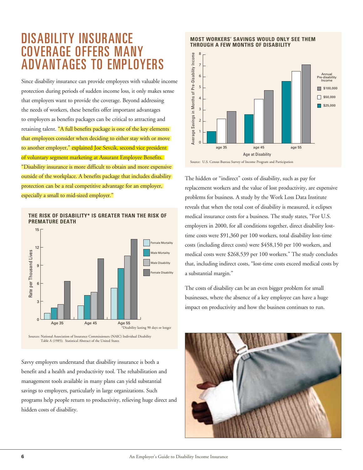## Disability Insurance Coverage Offers Many Advantages to Employers

Since disability insurance can provide employees with valuable income protection during periods of sudden income loss, it only makes sense that employers want to provide the coverage. Beyond addressing the needs of workers, these benefits offer important advantages to employers as benefits packages can be critical to attracting and retaining talent. "A full benefits package is one of the key elements that employees consider when deciding to either stay with or move to another employer," explained Joe Sevcik, second vice president of voluntary segment marketing at Assurant Employee Benefits. "Disability insurance is more difficult to obtain and more expensive outside of the workplace. A benefits package that includes disability protection can be a real competitive advantage for an employer, especially a small to mid-sized employer."



**The risk of disability\* is greater than the risk of**

Savvy employers understand that disability insurance is both a benefit and a health and productivity tool. The rehabilitation and management tools available in many plans can yield substantial savings to employers, particularly in large organizations. Such programs help people return to productivity, relieving huge direct and hidden costs of disability.

### **Most workers' savings would only see them through a few months of disability**



The hidden or "indirect" costs of disability, such as pay for replacement workers and the value of lost productivity, are expensive problems for business. A study by the Work Loss Data Institute reveals that when the total cost of disability is measured, it eclipses medical insurance costs for a business. The study states, "For U.S. employers in 2000, for all conditions together, direct disability losttime costs were \$91,360 per 100 workers, total disability lost-time costs (including direct costs) were \$458,150 per 100 workers, and medical costs were \$268,539 per 100 workers." The study concludes that, including indirect costs, "lost-time costs exceed medical costs by a substantial margin."

The costs of disability can be an even bigger problem for small businesses, where the absence of a key employee can have a huge impact on productivity and how the business continues to run.

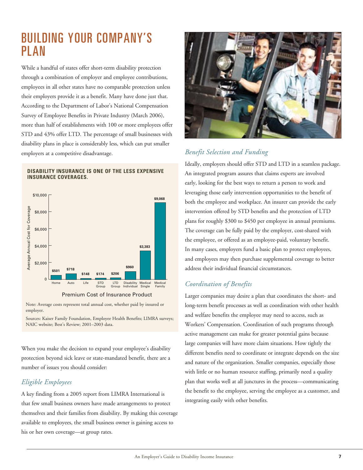## Building Your Company's Plan

While a handful of states offer short-term disability protection through a combination of employer and employee contributions, employees in all other states have no comparable protection unless their employers provide it as a benefit. Many have done just that. According to the Department of Labor's National Compensation Survey of Employee Benefits in Private Industry (March 2006), more than half of establishments with 100 or more employees offer STD and 43% offer LTD. The percentage of small businesses with disability plans in place is considerably less, which can put smaller employers at a competitive disadvantage.

#### **Disability insurance is one of the less expensive insurance coverages.**





Note: Average costs represent total annual cost, whether paid by insured or employer.

Sources: Kaiser Family Foundation, Employee Health Benefits; LIMRA surveys; NAIC website; Best's Review; 2001–2003 data.

When you make the decision to expand your employee's disability protection beyond sick leave or state-mandated benefit, there are a number of issues you should consider:

## *Eligible Employees*

A key finding from a 2005 report from LIMRA International is that few small business owners have made arrangements to protect themselves and their families from disability. By making this coverage available to employees, the small business owner is gaining access to his or her own coverage—at group rates.



## *Benefit Selection and Funding*

Ideally, employers should offer STD and LTD in a seamless package. An integrated program assures that claims experts are involved early, looking for the best ways to return a person to work and leveraging those early intervention opportunities to the benefit of both the employee and workplace. An insurer can provide the early intervention offered by STD benefits and the protection of LTD plans for roughly \$300 to \$450 per employee in annual premiums. The coverage can be fully paid by the employer, cost-shared with the employee, or offered as an employee-paid, voluntary benefit. In many cases, employers fund a basic plan to protect employees, and employees may then purchase supplemental coverage to better address their individual financial circumstances.

## *Coordination of Benefits*

Larger companies may desire a plan that coordinates the short- and long-term benefit processes as well as coordination with other health and welfare benefits the employee may need to access, such as Workers' Compensation. Coordination of such programs through active management can make for greater potential gains because large companies will have more claim situations. How tightly the different benefits need to coordinate or integrate depends on the size and nature of the organization. Smaller companies, especially those with little or no human resource staffing, primarily need a quality plan that works well at all junctures in the process—communicating the benefit to the employee, serving the employee as a customer, and integrating easily with other benefits.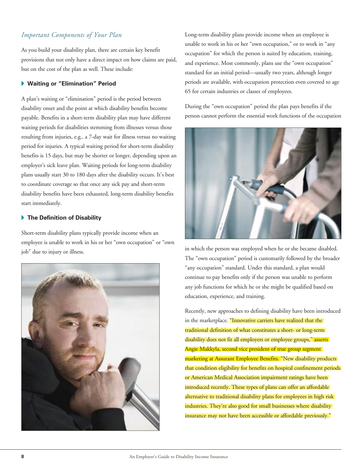### *Important Components of Your Plan*

As you build your disability plan, there are certain key benefit provisions that not only have a direct impact on how claims are paid, but on the cost of the plan as well. These include:

### A **Waiting or "Elimination" Period**

A plan's waiting or "elimination" period is the period between disability onset and the point at which disability benefits become payable. Benefits in a short-term disability plan may have different waiting periods for disabilities stemming from illnesses versus those resulting from injuries, e.g., a 7-day wait for illness versus no waiting period for injuries. A typical waiting period for short-term disability benefits is 15 days, but may be shorter or longer, depending upon an employer's sick leave plan. Waiting periods for long-term disability plans usually start 30 to 180 days after the disability occurs. It's best to coordinate coverage so that once any sick pay and short-term disability benefits have been exhausted, long-term disability benefits start immediately.

### **Finally** The Definition of Disability

Short-term disability plans typically provide income when an employee is unable to work in his or her "own occupation" or "own job" due to injury or illness.



Long-term disability plans provide income when an employee is unable to work in his or her "own occupation," or to work in "any occupation" for which the person is suited by education, training, and experience. Most commonly, plans use the "own occupation" standard for an initial period—usually two years, although longer periods are available, with occupation protection even covered to age 65 for certain industries or classes of employees.

During the "own occupation" period the plan pays benefits if the person cannot perform the essential work functions of the occupation



in which the person was employed when he or she became disabled. The "own occupation" period is customarily followed by the broader "any occupation" standard. Under this standard, a plan would continue to pay benefits only if the person was unable to perform any job functions for which he or she might be qualified based on education, experience, and training.

Recently, new approaches to defining disability have been introduced in the marketplace. "Innovative carriers have realized that the traditional definition of what constitutes a short- or long-term disability does not fit all employers or employee groups," asserts Angie Makkyla, second vice president of true group segment marketing at Assurant Employee Benefits. "New disability products that condition eligibility for benefits on hospital confinement periods or American Medical Association impairment ratings have been introduced recently. These types of plans can offer an affordable alternative to traditional disability plans for employees in high risk industries. They're also good for small businesses where disability insurance may not have been accessible or affordable previously."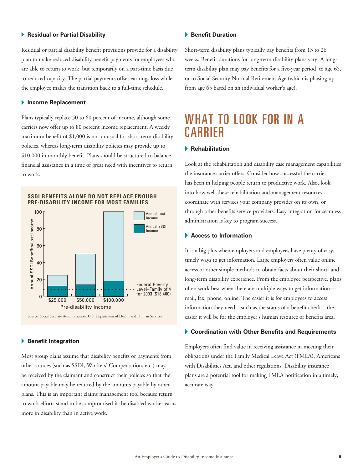### A **Residual or Partial Disability**

Residual or partial disability benefit provisions provide for a disability plan to make reduced disability benefit payments for employees who are able to return to work, but temporarily on a part-time basis due to reduced capacity. The partial payments offset earnings loss while the employee makes the transition back to a full-time schedule.

### A **Income Replacement**

Plans typically replace 50 to 60 percent of income, although some carriers now offer up to 80 percent income replacement. A weekly maximum benefit of \$1,000 is not unusual for short-term disability policies, whereas long-term disability policies may provide up to \$10,000 in monthly benefit. Plans should be structured to balance financial assistance in a time of great need with incentives to return to work.



#### A **Benefit Integration**

Most group plans assume that disability benefits or payments from other sources (such as SSDI, Workers' Compensation, etc.) may be received by the claimant and construct their policies so that the amount payable may be reduced by the amounts payable by other plans. This is an important claims management tool because return to work efforts stand to be compromised if the disabled worker earns more in disability than in active work.

#### A **Benefit Duration**

Short-term disability plans typically pay benefits from 13 to 26 weeks. Benefit durations for long-term disability plans vary. A longterm disability plan may pay benefits for a five-year period, to age 65, or to Social Security Normal Retirement Age (which is phasing up from age 65 based on an individual worker's age).

## WHAT TO LOOK FOR IN A Carrier

### A **Rehabilitation**

Look at the rehabilitation and disability case management capabilities the insurance carrier offers. Consider how successful the carrier has been in helping people return to productive work. Also, look into how well these rehabilitation and management resources coordinate with services your company provides on its own, or through other benefits service providers. Easy integration for seamless administration is key to program success.

### **Access to Information**

It is a big plus when employers and employees have plenty of easy, timely ways to get information. Large employers often value online access or other simple methods to obtain facts about their short- and long-term disability experience. From the employee perspective, plans often work best when there are multiple ways to get information mail, fax, phone, online. The easier it is for employees to access information they need—such as the status of a benefit check—the easier it will be for the employer's human resource or benefits area.

### A **Coordination with Other Benefits and Requirements**

Employers often find value in receiving assistance in meeting their obligations under the Family Medical Leave Act (FMLA), Americans with Disabilities Act, and other regulations. Disability insurance plans are a potential tool for making FMLA notification in a timely, accurate way.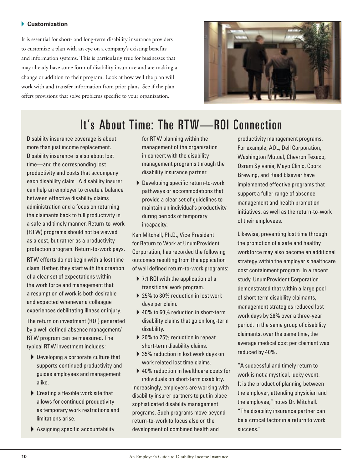### A **Customization**

It is essential for short- and long-term disability insurance providers to customize a plan with an eye on a company's existing benefits and information systems. This is particularly true for businesses that may already have some form of disability insurance and are making a change or addition to their program. Look at how well the plan will work with and transfer information from prior plans. See if the plan offers provisions that solve problems specific to your organization.



## It's About Time: The RTW—ROI Connection

Disability insurance coverage is about more than just income replacement. Disability insurance is also about lost time—and the corresponding lost productivity and costs that accompany each disability claim. A disability insurer can help an employer to create a balance between effective disability claims administration and a focus on returning the claimants back to full productivity in a safe and timely manner. Return-to-work (RTW) programs should not be viewed as a cost, but rather as a productivity protection program. Return-to-work pays.

RTW efforts do not begin with a lost time claim. Rather, they start with the creation of a clear set of expectations within the work force and management that a resumption of work is both desirable and expected whenever a colleague experiences debilitating illness or injury.

The return on investment (ROI) generated by a well defined absence management/ RTW program can be measured. The typical RTW investment includes:

- $\blacktriangleright$  Developing a corporate culture that supports continued productivity and guides employees and management alike.
- $\triangleright$  Creating a flexible work site that allows for continued productivity as temporary work restrictions and limitations arise.
- $\blacktriangleright$  Assigning specific accountability

for RTW planning within the management of the organization in concert with the disability management programs through the disability insurance partner.

A Developing specific return-to-work pathways or accommodations that provide a clear set of guidelines to maintain an individual's productivity during periods of temporary incapacity.

Ken Mitchell, Ph.D., Vice President for Return to Work at UnumProvident Corporation, has recorded the following outcomes resulting from the application of well defined return-to-work programs:

- $\triangleright$  7:1 ROI with the application of a transitional work program.
- $\blacktriangleright$  25% to 30% reduction in lost work days per claim.
- $\blacktriangleright$  40% to 60% reduction in short-term disability claims that go on long-term disability.
- $\blacktriangleright$  20% to 25% reduction in repeat short-term disability claims.
- $\triangleright$  35% reduction in lost work days on work related lost time claims.
- ▶ 40% reduction in healthcare costs for individuals on short-term disability. Increasingly, employers are working with disability insurer partners to put in place sophisticated disability management programs. Such programs move beyond return-to-work to focus also on the development of combined health and

productivity management programs. For example, AOL, Dell Corporation, Washington Mutual, Chevron Texaco, Osram Sylvania, Mayo Clinic, Coors Brewing, and Reed Elsevier have implemented effective programs that support a fuller range of absence management and health promotion initiatives, as well as the return-to-work of their employees.

Likewise, preventing lost time through the promotion of a safe and healthy workforce may also become an additional strategy within the employer's healthcare cost containment program. In a recent study, UnumProvident Corporation demonstrated that within a large pool of short-term disability claimants, management strategies reduced lost work days by 28% over a three-year period. In the same group of disability claimants, over the same time, the average medical cost per claimant was reduced by 40%.

"A successful and timely return to work is not a mystical, lucky event. It is the product of planning between the employer, attending physician and the employee," notes Dr. Mitchell. "The disability insurance partner can be a critical factor in a return to work success."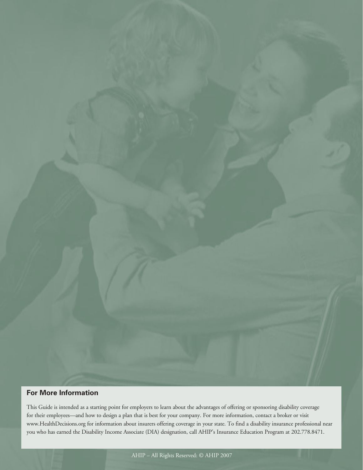

## **For More Information**

This Guide is intended as a starting point for employers to learn about the advantages of offering or sponsoring disability coverage for their employees—and how to design a plan that is best for your company. For more information, contact a broker or visit www.HealthDecisions.org for information about insurers offering coverage in your state. To find a disability insurance professional near you who has earned the Disability Income Associate (DIA) designation, call AHIP's Insurance Education Program at 202.778.8471.